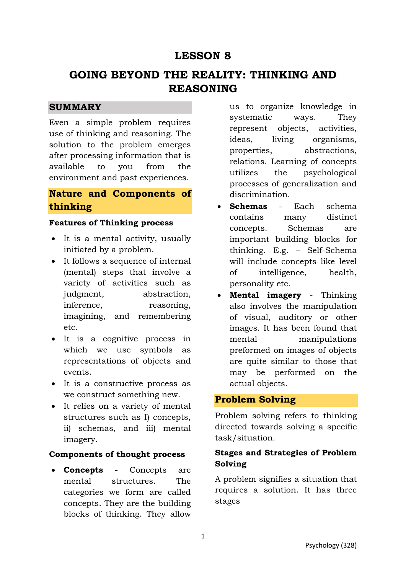## **LESSON 8**

# **GOING BEYOND THE REALITY: THINKING AND REASONING**

### **SUMMARY**

Even a simple problem requires use of thinking and reasoning. The solution to the problem emerges after processing information that is available to you from the environment and past experiences.

## **Nature and Components of thinking**

#### **Features of Thinking process**

- It is a mental activity, usually initiated by a problem.
- It follows a sequence of internal (mental) steps that involve a variety of activities such as judgment, abstraction, inference, reasoning, imagining, and remembering etc.
- It is a cognitive process in which we use symbols as representations of objects and events.
- It is a constructive process as we construct something new.
- It relies on a variety of mental structures such as I) concepts, ii) schemas, and iii) mental imagery.

#### **Components of thought process**

 **Concepts** - Concepts are mental structures. The categories we form are called concepts. They are the building blocks of thinking. They allow

us to organize knowledge in systematic ways. They represent objects, activities, ideas, living organisms, properties, abstractions, relations. Learning of concepts utilizes the psychological processes of generalization and discrimination.

- **Schemas** Each schema contains many distinct concepts. Schemas are important building blocks for thinking. E.g. – Self-Schema will include concepts like level of intelligence, health, personality etc.
- **Mental imagery** Thinking also involves the manipulation of visual, auditory or other images. It has been found that mental manipulations preformed on images of objects are quite similar to those that may be performed on the actual objects.

### **Problem Solving**

Problem solving refers to thinking directed towards solving a specific task/situation.

## **Stages and Strategies of Problem Solving**

A problem signifies a situation that requires a solution. It has three stages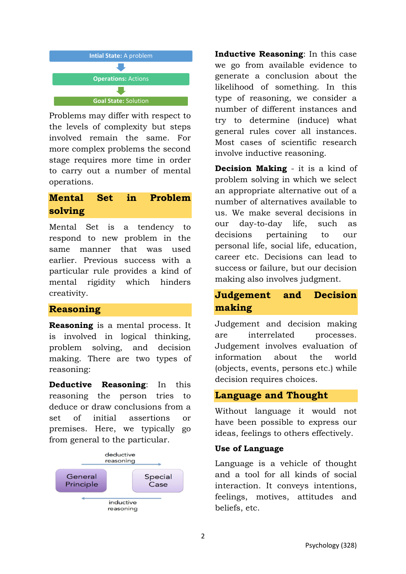

Problems may differ with respect to the levels of complexity but steps involved remain the same. For more complex problems the second stage requires more time in order to carry out a number of mental operations.

## **Mental Set in Problem solving**

Mental Set is a tendency to respond to new problem in the same manner that was used earlier. Previous success with a particular rule provides a kind of mental rigidity which hinders creativity.

## **Reasoning**

**Reasoning** is a mental process. It is involved in logical thinking, problem solving, and decision making. There are two types of reasoning:

**Deductive Reasoning**: In this reasoning the person tries to deduce or draw conclusions from a set of initial assertions or premises. Here, we typically go from general to the particular.



**Inductive Reasoning**: In this case we go from available evidence to generate a conclusion about the likelihood of something. In this type of reasoning, we consider a number of different instances and try to determine (induce) what general rules cover all instances. Most cases of scientific research involve inductive reasoning.

**Decision Making** - it is a kind of problem solving in which we select an appropriate alternative out of a number of alternatives available to us. We make several decisions in our day-to-day life, such as decisions pertaining to our personal life, social life, education, career etc. Decisions can lead to success or failure, but our decision making also involves judgment.

## **Judgement and Decision making**

Judgement and decision making are interrelated processes. Judgement involves evaluation of information about the world (objects, events, persons etc.) while decision requires choices.

## **Language and Thought**

Without language it would not have been possible to express our ideas, feelings to others effectively.

### **Use of Language**

Language is a vehicle of thought and a tool for all kinds of social interaction. It conveys intentions, feelings, motives, attitudes and beliefs, etc.